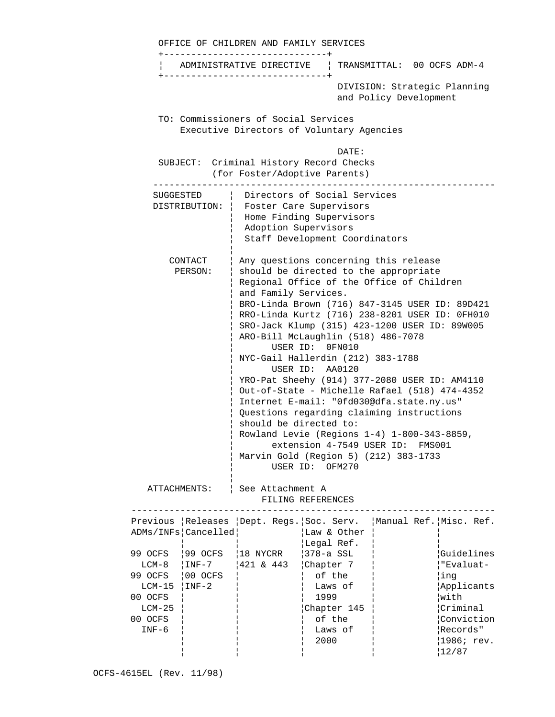|                                                                                              | OFFICE OF CHILDREN AND FAMILY SERVICES                                            |                              |                                                                                                                                                                                                                                                                                                                                                                                                                                                                                                                                                                                                                                                                                                                                                                                                   |                                                                                                    |  |                                                                           |                                                                                                                       |  |
|----------------------------------------------------------------------------------------------|-----------------------------------------------------------------------------------|------------------------------|---------------------------------------------------------------------------------------------------------------------------------------------------------------------------------------------------------------------------------------------------------------------------------------------------------------------------------------------------------------------------------------------------------------------------------------------------------------------------------------------------------------------------------------------------------------------------------------------------------------------------------------------------------------------------------------------------------------------------------------------------------------------------------------------------|----------------------------------------------------------------------------------------------------|--|---------------------------------------------------------------------------|-----------------------------------------------------------------------------------------------------------------------|--|
|                                                                                              |                                                                                   |                              |                                                                                                                                                                                                                                                                                                                                                                                                                                                                                                                                                                                                                                                                                                                                                                                                   |                                                                                                    |  | ADMINISTRATIVE DIRECTIVE   TRANSMITTAL: 00 OCFS ADM-4                     |                                                                                                                       |  |
|                                                                                              | --------------------------------                                                  |                              |                                                                                                                                                                                                                                                                                                                                                                                                                                                                                                                                                                                                                                                                                                                                                                                                   |                                                                                                    |  | DIVISION: Strategic Planning<br>and Policy Development                    |                                                                                                                       |  |
|                                                                                              | TO: Commissioners of Social Services<br>Executive Directors of Voluntary Agencies |                              |                                                                                                                                                                                                                                                                                                                                                                                                                                                                                                                                                                                                                                                                                                                                                                                                   |                                                                                                    |  |                                                                           |                                                                                                                       |  |
|                                                                                              | SUBJECT: Criminal History Record Checks                                           |                              |                                                                                                                                                                                                                                                                                                                                                                                                                                                                                                                                                                                                                                                                                                                                                                                                   | DATE:<br>(for Foster/Adoptive Parents)                                                             |  |                                                                           |                                                                                                                       |  |
|                                                                                              |                                                                                   |                              | SUGGESTED   Directors of Social Services<br>DISTRIBUTION:   Foster Care Supervisors<br>Home Finding Supervisors<br>Adoption Supervisors<br>Staff Development Coordinators                                                                                                                                                                                                                                                                                                                                                                                                                                                                                                                                                                                                                         |                                                                                                    |  |                                                                           |                                                                                                                       |  |
|                                                                                              | CONTACT<br>PERSON:                                                                |                              | Any questions concerning this release<br>should be directed to the appropriate<br>Regional Office of the Office of Children<br>and Family Services.<br>BRO-Linda Brown (716) 847-3145 USER ID: 89D421<br>RRO-Linda Kurtz (716) 238-8201 USER ID: 0FH010<br>SRO-Jack Klump (315) 423-1200 USER ID: 89W005<br>ARO-Bill McLaughlin (518) 486-7078<br>USER ID: 0FN010<br>NYC-Gail Hallerdin (212) 383-1788<br>USER ID: AA0120<br>YRO-Pat Sheehy (914) 377-2080 USER ID: AM4110<br>Out-of-State - Michelle Rafael (518) 474-4352<br>Internet E-mail: "Ofd030@dfa.state.ny.us"<br>Questions regarding claiming instructions<br>should be directed to:<br>Rowland Levie (Regions 1-4) 1-800-343-8859,<br>extension 4-7549 USER ID: FMS001<br>Marvin Gold (Region 5) (212) 383-1733<br>USER ID:<br>OFM270 |                                                                                                    |  |                                                                           |                                                                                                                       |  |
|                                                                                              | See Attachment A<br>ATTACHMENTS:<br>FILING REFERENCES                             |                              |                                                                                                                                                                                                                                                                                                                                                                                                                                                                                                                                                                                                                                                                                                                                                                                                   |                                                                                                    |  |                                                                           |                                                                                                                       |  |
|                                                                                              | ADMs/INFs Cancelled                                                               |                              |                                                                                                                                                                                                                                                                                                                                                                                                                                                                                                                                                                                                                                                                                                                                                                                                   | Law & Other<br>Legal Ref.                                                                          |  | Previous   Releases   Dept. Regs.   Soc. Serv.   Manual Ref.   Misc. Ref. |                                                                                                                       |  |
| 99 OCFS<br>LCM-8<br>99 OCFS<br>$LCM-15$   INF-2<br>00 OCFS<br>$LCM-25$<br>00 OCFS<br>$INF-6$ | $ 99$ OCFS<br>$ INF-7 $<br>$ 00$ OCFS                                             | 18 NYCRR<br>$ 421 \t{6} 443$ |                                                                                                                                                                                                                                                                                                                                                                                                                                                                                                                                                                                                                                                                                                                                                                                                   | $ 378-a$ SSL<br>Chapter 7<br>of the<br>Laws of<br>1999<br>Chapter 145<br>of the<br>Laws of<br>2000 |  |                                                                           | Guidelines<br> "Evaluat-<br>¦ing<br>Applicants<br>with<br> Criminal<br>Conviction<br>Records"<br> 1986; rev.<br>12/87 |  |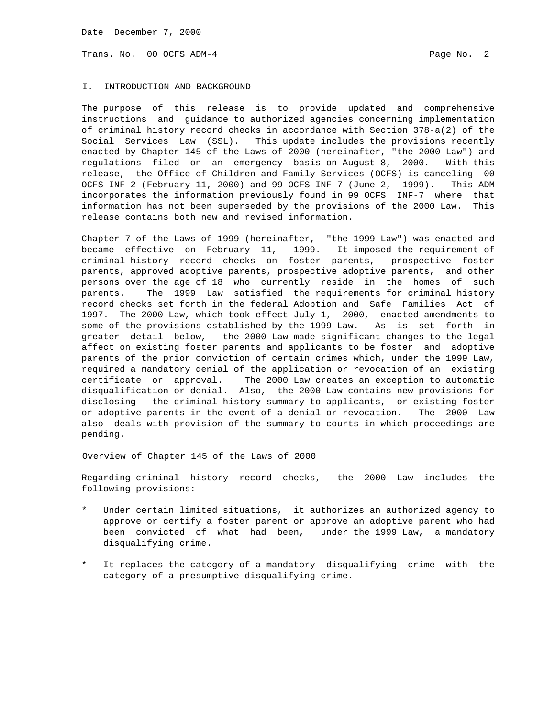Trans. No. 00 OCFS ADM-4 **Page No. 2** Page No. 2

### I. INTRODUCTION AND BACKGROUND

The purpose of this release is to provide updated and comprehensive instructions and guidance to authorized agencies concerning implementation of criminal history record checks in accordance with Section 378-a(2) of the Social Services Law (SSL). This update includes the provisions recently enacted by Chapter 145 of the Laws of 2000 (hereinafter, "the 2000 Law") and regulations filed on an emergency basis on August 8, 2000. With this release, the Office of Children and Family Services (OCFS) is canceling 00 OCFS INF-2 (February 11, 2000) and 99 OCFS INF-7 (June 2, 1999). This ADM incorporates the information previously found in 99 OCFS INF-7 where that information has not been superseded by the provisions of the 2000 Law. This release contains both new and revised information.

Chapter 7 of the Laws of 1999 (hereinafter, "the 1999 Law") was enacted and became effective on February 11, 1999. It imposed the requirement of criminal history record checks on foster parents, prospective foster parents, approved adoptive parents, prospective adoptive parents, and other persons over the age of 18 who currently reside in the homes of such parents. The 1999 Law satisfied the requirements for criminal history record checks set forth in the federal Adoption and Safe Families Act of 1997. The 2000 Law, which took effect July 1, 2000, enacted amendments to some of the provisions established by the 1999 Law. As is set forth in greater detail below, the 2000 Law made significant changes to the legal affect on existing foster parents and applicants to be foster and adoptive parents of the prior conviction of certain crimes which, under the 1999 Law, required a mandatory denial of the application or revocation of an existing certificate or approval. The 2000 Law creates an exception to automatic disqualification or denial. Also, the 2000 Law contains new provisions for disclosing the criminal history summary to applicants, or existing foster or adoptive parents in the event of a denial or revocation. The 2000 Law also deals with provision of the summary to courts in which proceedings are pending.

Overview of Chapter 145 of the Laws of 2000

Regarding criminal history record checks, the 2000 Law includes the following provisions:

- Under certain limited situations, it authorizes an authorized agency to approve or certify a foster parent or approve an adoptive parent who had been convicted of what had been, under the 1999 Law, a mandatory disqualifying crime.
- It replaces the category of a mandatory disqualifying crime with the category of a presumptive disqualifying crime.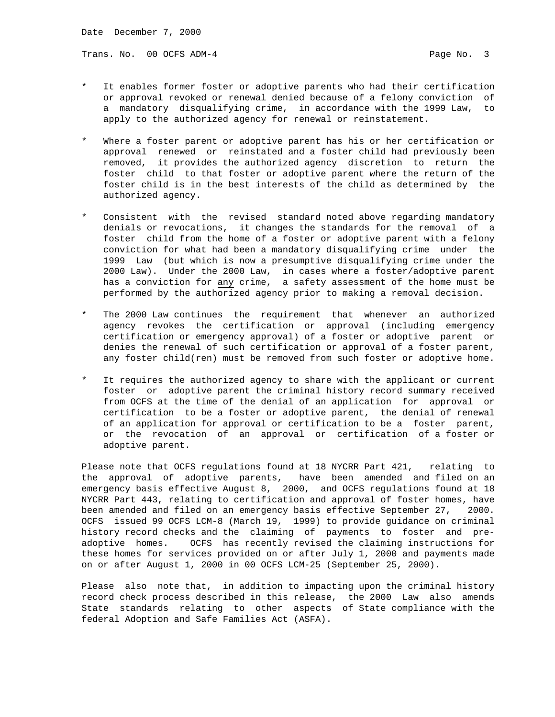Trans. No. 00 OCFS ADM-4 **Page No. 3** 

- It enables former foster or adoptive parents who had their certification or approval revoked or renewal denied because of a felony conviction of a mandatory disqualifying crime, in accordance with the 1999 Law, to apply to the authorized agency for renewal or reinstatement.
- Where a foster parent or adoptive parent has his or her certification or approval renewed or reinstated and a foster child had previously been removed, it provides the authorized agency discretion to return the foster child to that foster or adoptive parent where the return of the foster child is in the best interests of the child as determined by the authorized agency.
- Consistent with the revised standard noted above regarding mandatory denials or revocations, it changes the standards for the removal of a foster child from the home of a foster or adoptive parent with a felony conviction for what had been a mandatory disqualifying crime under the 1999 Law (but which is now a presumptive disqualifying crime under the 2000 Law). Under the 2000 Law, in cases where a foster/adoptive parent has a conviction for any crime, a safety assessment of the home must be performed by the authorized agency prior to making a removal decision.
- The 2000 Law continues the requirement that whenever an authorized agency revokes the certification or approval (including emergency certification or emergency approval) of a foster or adoptive parent or denies the renewal of such certification or approval of a foster parent, any foster child(ren) must be removed from such foster or adoptive home.
- It requires the authorized agency to share with the applicant or current foster or adoptive parent the criminal history record summary received from OCFS at the time of the denial of an application for approval or certification to be a foster or adoptive parent, the denial of renewal of an application for approval or certification to be a foster parent, or the revocation of an approval or certification of a foster or adoptive parent.

Please note that OCFS regulations found at 18 NYCRR Part 421, relating to the approval of adoptive parents, have been amended and filed on an emergency basis effective August 8, 2000, and OCFS regulations found at 18 NYCRR Part 443, relating to certification and approval of foster homes, have been amended and filed on an emergency basis effective September 27, 2000. OCFS issued 99 OCFS LCM-8 (March 19, 1999) to provide guidance on criminal history record checks and the claiming of payments to foster and preadoptive homes. OCFS has recently revised the claiming instructions for these homes for services provided on or after July 1, 2000 and payments made on or after August 1, 2000 in 00 OCFS LCM-25 (September 25, 2000).

Please also note that, in addition to impacting upon the criminal history record check process described in this release, the 2000 Law also amends State standards relating to other aspects of State compliance with the federal Adoption and Safe Families Act (ASFA).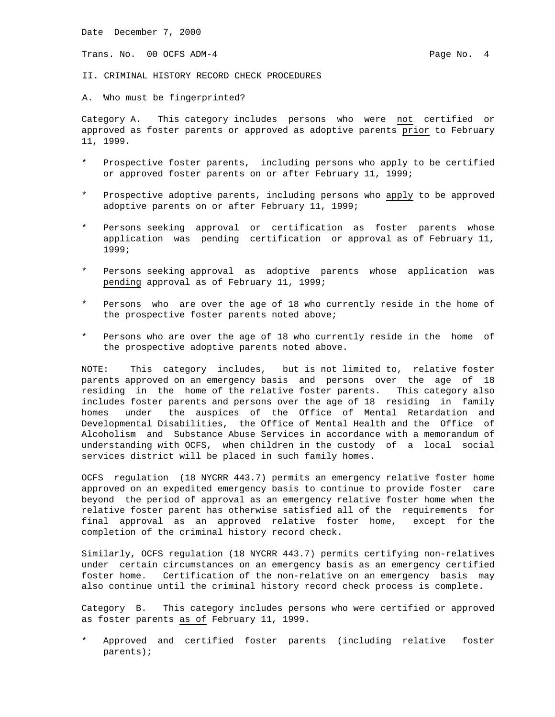Trans. No. 00 OCFS ADM-4 **Page No. 4** Page No. 4

II. CRIMINAL HISTORY RECORD CHECK PROCEDURES

A. Who must be fingerprinted?

Category A. This category includes persons who were not certified or approved as foster parents or approved as adoptive parents prior to February 11, 1999.

- Prospective foster parents, including persons who apply to be certified or approved foster parents on or after February 11, 1999;
- Prospective adoptive parents, including persons who apply to be approved adoptive parents on or after February 11, 1999;
- Persons seeking approval or certification as foster parents whose application was pending certification or approval as of February 11, 1999;
- Persons seeking approval as adoptive parents whose application was pending approval as of February 11, 1999;
- Persons who are over the age of 18 who currently reside in the home of the prospective foster parents noted above;
- Persons who are over the age of 18 who currently reside in the home of the prospective adoptive parents noted above.

NOTE: This category includes, but is not limited to, relative foster parents approved on an emergency basis and persons over the age of 18 residing in the home of the relative foster parents. This category also includes foster parents and persons over the age of 18 residing in family homes under the auspices of the Office of Mental Retardation and Developmental Disabilities, the Office of Mental Health and the Office of Alcoholism and Substance Abuse Services in accordance with a memorandum of understanding with OCFS, when children in the custody of a local social services district will be placed in such family homes.

OCFS regulation (18 NYCRR 443.7) permits an emergency relative foster home approved on an expedited emergency basis to continue to provide foster care beyond the period of approval as an emergency relative foster home when the relative foster parent has otherwise satisfied all of the requirements for final approval as an approved relative foster home, except for the completion of the criminal history record check.

Similarly, OCFS regulation (18 NYCRR 443.7) permits certifying non-relatives under certain circumstances on an emergency basis as an emergency certified foster home. Certification of the non-relative on an emergency basis may also continue until the criminal history record check process is complete.

Category B. This category includes persons who were certified or approved as foster parents as of February 11, 1999.

Approved and certified foster parents (including relative foster parents);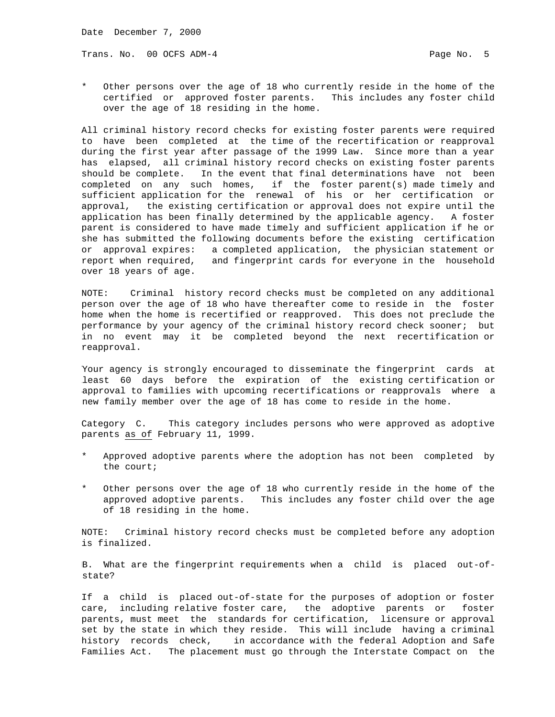Trans. No. 00 OCFS ADM-4 **Page No. 5** Page No. 5

Other persons over the age of 18 who currently reside in the home of the certified or approved foster parents. This includes any foster child over the age of 18 residing in the home.

All criminal history record checks for existing foster parents were required to have been completed at the time of the recertification or reapproval during the first year after passage of the 1999 Law. Since more than a year has elapsed, all criminal history record checks on existing foster parents should be complete. In the event that final determinations have not been completed on any such homes, if the foster parent(s) made timely and sufficient application for the renewal of his or her certification or approval, the existing certification or approval does not expire until the application has been finally determined by the applicable agency. A foster parent is considered to have made timely and sufficient application if he or she has submitted the following documents before the existing certification or approval expires: a completed application, the physician statement or report when required, and fingerprint cards for everyone in the household over 18 years of age.

NOTE: Criminal history record checks must be completed on any additional person over the age of 18 who have thereafter come to reside in the foster home when the home is recertified or reapproved. This does not preclude the performance by your agency of the criminal history record check sooner; but in no event may it be completed beyond the next recertification or reapproval.

Your agency is strongly encouraged to disseminate the fingerprint cards at least 60 days before the expiration of the existing certification or approval to families with upcoming recertifications or reapprovals where a new family member over the age of 18 has come to reside in the home.

Category C. This category includes persons who were approved as adoptive parents as of February 11, 1999.

- \* Approved adoptive parents where the adoption has not been completed by the court;
- Other persons over the age of 18 who currently reside in the home of the approved adoptive parents. This includes any foster child over the age of 18 residing in the home.

NOTE: Criminal history record checks must be completed before any adoption is finalized.

B. What are the fingerprint requirements when a child is placed out-ofstate?

If a child is placed out-of-state for the purposes of adoption or foster care, including relative foster care, the adoptive parents or foster parents, must meet the standards for certification, licensure or approval set by the state in which they reside. This will include having a criminal history records check, in accordance with the federal Adoption and Safe Families Act. The placement must go through the Interstate Compact on the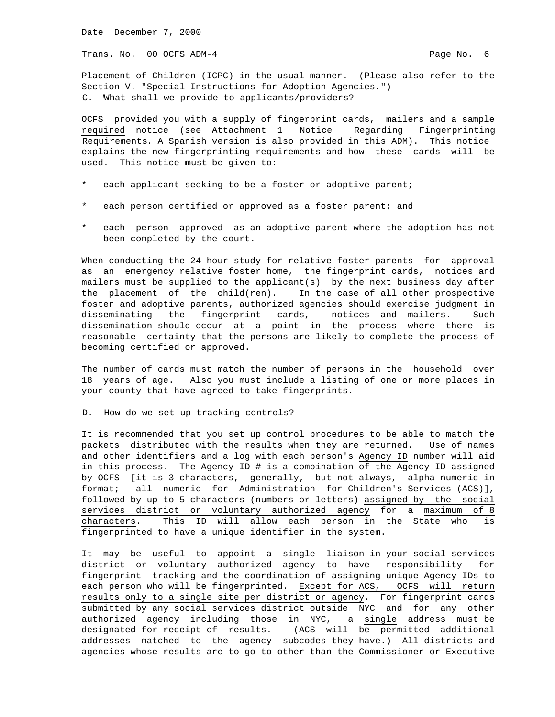Trans. No. 00 OCFS ADM-4 **Page No. 6** Page No. 6

Placement of Children (ICPC) in the usual manner. (Please also refer to the Section V. "Special Instructions for Adoption Agencies.") C. What shall we provide to applicants/providers?

OCFS provided you with a supply of fingerprint cards, mailers and a sample required notice (see Attachment 1 Notice Regarding Fingerprinting Requirements. A Spanish version is also provided in this ADM). This notice explains the new fingerprinting requirements and how these cards will be used. This notice must be given to:

- \* each applicant seeking to be a foster or adoptive parent;
- each person certified or approved as a foster parent; and
- each person approved as an adoptive parent where the adoption has not been completed by the court.

When conducting the 24-hour study for relative foster parents for approval as an emergency relative foster home, the fingerprint cards, notices and mailers must be supplied to the applicant(s) by the next business day after the placement of the child(ren). In the case of all other prospective foster and adoptive parents, authorized agencies should exercise judgment in disseminating the fingerprint cards, notices and mailers. Such dissemination should occur at a point in the process where there is reasonable certainty that the persons are likely to complete the process of becoming certified or approved.

The number of cards must match the number of persons in the household over 18 years of age. Also you must include a listing of one or more places in your county that have agreed to take fingerprints.

D. How do we set up tracking controls?

It is recommended that you set up control procedures to be able to match the packets distributed with the results when they are returned. Use of names and other identifiers and a log with each person's Agency ID number will aid in this process. The Agency ID # is a combination of the Agency ID assigned by OCFS [it is 3 characters, generally, but not always, alpha numeric in format; all numeric for Administration for Children's Services (ACS)], followed by up to 5 characters (numbers or letters) assigned by the social services district or voluntary authorized agency for a maximum of 8 characters. This ID will allow each person in the State who is fingerprinted to have a unique identifier in the system.

It may be useful to appoint a single liaison in your social services district or voluntary authorized agency to have responsibility for fingerprint tracking and the coordination of assigning unique Agency IDs to each person who will be fingerprinted. Except for ACS, OCFS will return results only to a single site per district or agency. For fingerprint cards submitted by any social services district outside NYC and for any other authorized agency including those in NYC, a single address must be designated for receipt of results. (ACS will be permitted additional addresses matched to the agency subcodes they have.) All districts and agencies whose results are to go to other than the Commissioner or Executive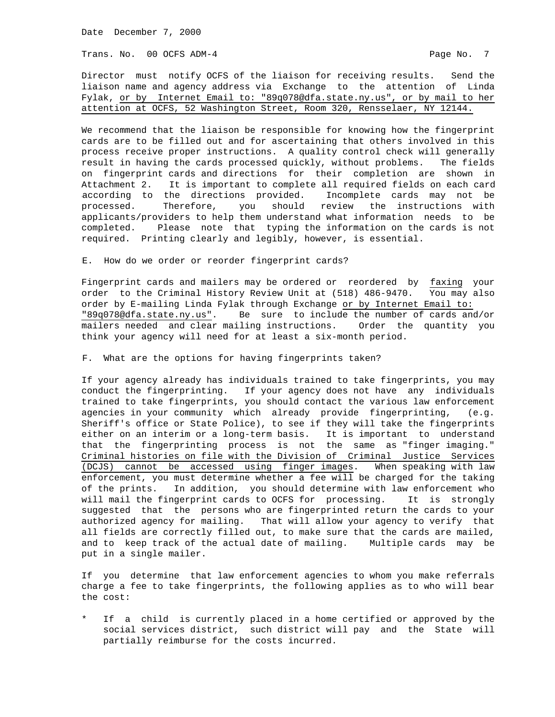Trans. No. 00 OCFS ADM-4 **Page No. 7** Page No. 7

Director must notify OCFS of the liaison for receiving results. Send the liaison name and agency address via Exchange to the attention of Linda Fylak, or by Internet Email to: "89q078@dfa.state.ny.us", or by mail to her attention at OCFS, 52 Washington Street, Room 320, Rensselaer, NY 12144.

We recommend that the liaison be responsible for knowing how the fingerprint cards are to be filled out and for ascertaining that others involved in this process receive proper instructions. A quality control check will generally result in having the cards processed quickly, without problems. The fields on fingerprint cards and directions for their completion are shown in Attachment 2. It is important to complete all required fields on each card according to the directions provided. Incomplete cards may not be processed. Therefore, you should review the instructions with applicants/providers to help them understand what information needs to be completed. Please note that typing the information on the cards is not required. Printing clearly and legibly, however, is essential.

E. How do we order or reorder fingerprint cards?

Fingerprint cards and mailers may be ordered or reordered by faxing your order to the Criminal History Review Unit at (518) 486-9470. You may also order by E-mailing Linda Fylak through Exchange or by Internet Email to: "89q078@dfa.state.ny.us". Be sure to include the number of cards and/or mailers needed and clear mailing instructions. Order the quantity you think your agency will need for at least a six-month period.

F. What are the options for having fingerprints taken?

If your agency already has individuals trained to take fingerprints, you may conduct the fingerprinting. If your agency does not have any individuals trained to take fingerprints, you should contact the various law enforcement agencies in your community which already provide fingerprinting, (e.g. Sheriff's office or State Police), to see if they will take the fingerprints either on an interim or a long-term basis. It is important to understand that the fingerprinting process is not the same as "finger imaging." Criminal histories on file with the Division of Criminal Justice Services (DCJS) cannot be accessed using finger images. When speaking with law enforcement, you must determine whether a fee will be charged for the taking of the prints. In addition, you should determine with law enforcement who will mail the fingerprint cards to OCFS for processing. It is strongly suggested that the persons who are fingerprinted return the cards to your authorized agency for mailing. That will allow your agency to verify that all fields are correctly filled out, to make sure that the cards are mailed, and to keep track of the actual date of mailing. Multiple cards may be put in a single mailer.

If you determine that law enforcement agencies to whom you make referrals charge a fee to take fingerprints, the following applies as to who will bear the cost:

\* If a child is currently placed in a home certified or approved by the social services district, such district will pay and the State will partially reimburse for the costs incurred.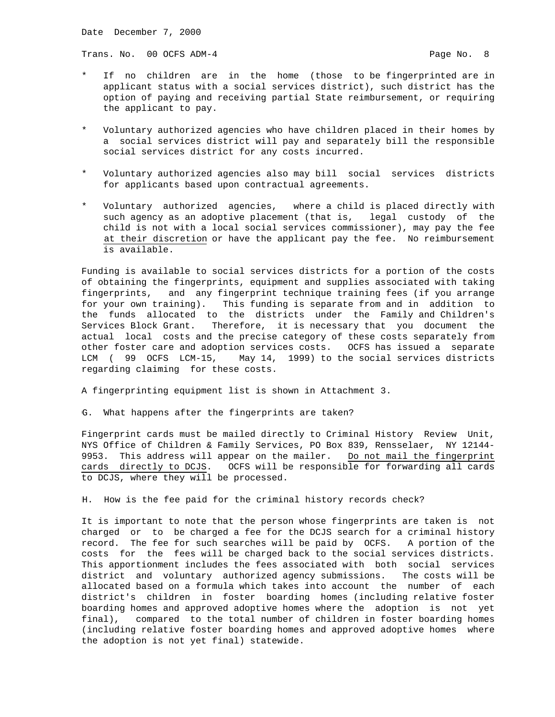Trans. No. 00 OCFS ADM-4 **Page No. 8** Page No. 8

- If no children are in the home (those to be fingerprinted are in applicant status with a social services district), such district has the option of paying and receiving partial State reimbursement, or requiring the applicant to pay.
- Voluntary authorized agencies who have children placed in their homes by a social services district will pay and separately bill the responsible social services district for any costs incurred.
- Voluntary authorized agencies also may bill social services districts for applicants based upon contractual agreements.
- Voluntary authorized agencies, where a child is placed directly with such agency as an adoptive placement (that is, legal custody of the child is not with a local social services commissioner), may pay the fee at their discretion or have the applicant pay the fee. No reimbursement is available.

Funding is available to social services districts for a portion of the costs of obtaining the fingerprints, equipment and supplies associated with taking fingerprints, and any fingerprint technique training fees (if you arrange for your own training). This funding is separate from and in addition to the funds allocated to the districts under the Family and Children's Services Block Grant. Therefore, it is necessary that you document the actual local costs and the precise category of these costs separately from other foster care and adoption services costs. OCFS has issued a separate LCM ( 99 OCFS LCM-15, May 14, 1999) to the social services districts regarding claiming for these costs.

A fingerprinting equipment list is shown in Attachment 3.

G. What happens after the fingerprints are taken?

Fingerprint cards must be mailed directly to Criminal History Review Unit, NYS Office of Children & Family Services, PO Box 839, Rensselaer, NY 12144- 9953. This address will appear on the mailer. Do not mail the fingerprint cards directly to DCJS. OCFS will be responsible for forwarding all cards to DCJS, where they will be processed.

H. How is the fee paid for the criminal history records check?

It is important to note that the person whose fingerprints are taken is not charged or to be charged a fee for the DCJS search for a criminal history record. The fee for such searches will be paid by OCFS. A portion of the costs for the fees will be charged back to the social services districts. This apportionment includes the fees associated with both social services district and voluntary authorized agency submissions. The costs will be allocated based on a formula which takes into account the number of each district's children in foster boarding homes (including relative foster boarding homes and approved adoptive homes where the adoption is not yet final), compared to the total number of children in foster boarding homes (including relative foster boarding homes and approved adoptive homes where the adoption is not yet final) statewide.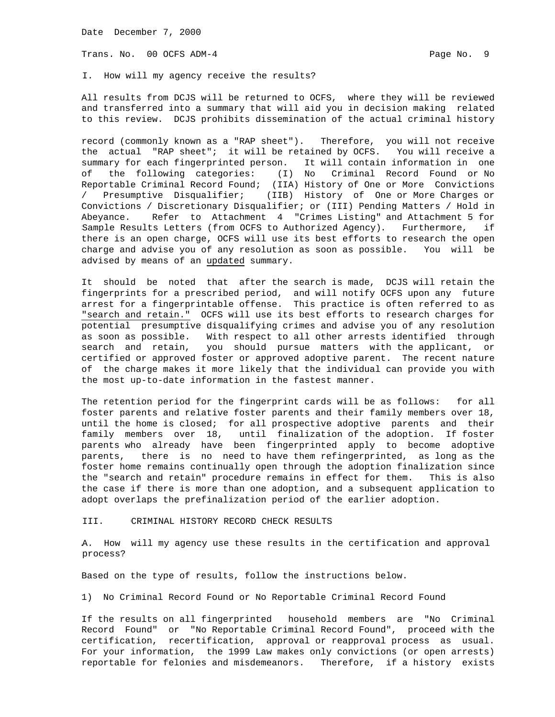Trans. No. 00 OCFS ADM-4 **Page No. 9** Page No. 9

I. How will my agency receive the results?

All results from DCJS will be returned to OCFS, where they will be reviewed and transferred into a summary that will aid you in decision making related to this review. DCJS prohibits dissemination of the actual criminal history

record (commonly known as a "RAP sheet"). Therefore, you will not receive the actual "RAP sheet"; it will be retained by OCFS. You will receive a summary for each fingerprinted person. It will contain information in one of the following categories: (I) No Criminal Record Found or No Reportable Criminal Record Found; (IIA) History of One or More Convictions / Presumptive Disqualifier; (IIB) History of One or More Charges or Convictions / Discretionary Disqualifier; or (III) Pending Matters / Hold in Abeyance. Refer to Attachment 4 "Crimes Listing" and Attachment 5 for Sample Results Letters (from OCFS to Authorized Agency). Furthermore, if there is an open charge, OCFS will use its best efforts to research the open charge and advise you of any resolution as soon as possible. You will be advised by means of an updated summary.

It should be noted that after the search is made, DCJS will retain the fingerprints for a prescribed period, and will notify OCFS upon any future arrest for a fingerprintable offense. This practice is often referred to as "search and retain." OCFS will use its best efforts to research charges for potential presumptive disqualifying crimes and advise you of any resolution as soon as possible. With respect to all other arrests identified through search and retain, you should pursue matters with the applicant, or certified or approved foster or approved adoptive parent. The recent nature of the charge makes it more likely that the individual can provide you with the most up-to-date information in the fastest manner.

The retention period for the fingerprint cards will be as follows: for all foster parents and relative foster parents and their family members over 18, until the home is closed; for all prospective adoptive parents and their family members over 18, until finalization of the adoption. If foster parents who already have been fingerprinted apply to become adoptive parents, there is no need to have them refingerprinted, as long as the foster home remains continually open through the adoption finalization since the "search and retain" procedure remains in effect for them. This is also the case if there is more than one adoption, and a subsequent application to adopt overlaps the prefinalization period of the earlier adoption.

III. CRIMINAL HISTORY RECORD CHECK RESULTS

A. How will my agency use these results in the certification and approval process?

Based on the type of results, follow the instructions below.

1) No Criminal Record Found or No Reportable Criminal Record Found

If the results on all fingerprinted household members are "No Criminal Record Found" or "No Reportable Criminal Record Found", proceed with the certification, recertification, approval or reapproval process as usual. For your information, the 1999 Law makes only convictions (or open arrests) reportable for felonies and misdemeanors. Therefore, if a history exists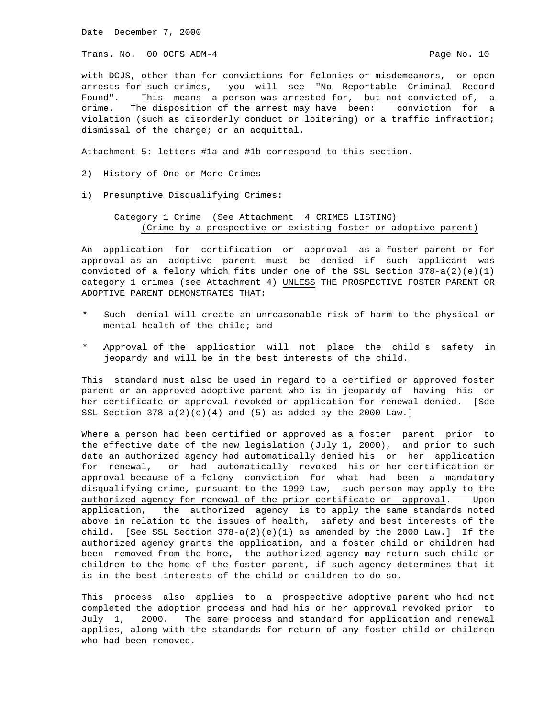Trans. No. 00 OCFS ADM-4 **Page No. 10** Page No. 10

with DCJS, other than for convictions for felonies or misdemeanors, or open arrests for such crimes, you will see "No Reportable Criminal Record Found". This means a person was arrested for, but not convicted of, a crime. The disposition of the arrest may have been: conviction for a violation (such as disorderly conduct or loitering) or a traffic infraction; dismissal of the charge; or an acquittal.

Attachment 5: letters #1a and #1b correspond to this section.

- 2) History of One or More Crimes
- i) Presumptive Disqualifying Crimes:

 Category 1 Crime (See Attachment 4 CRIMES LISTING) (Crime by a prospective or existing foster or adoptive parent)

An application for certification or approval as a foster parent or for approval as an adoptive parent must be denied if such applicant was convicted of a felony which fits under one of the SSL Section 378-a(2)(e)(1) category 1 crimes (see Attachment 4) UNLESS THE PROSPECTIVE FOSTER PARENT OR ADOPTIVE PARENT DEMONSTRATES THAT:

- \* Such denial will create an unreasonable risk of harm to the physical or mental health of the child; and
- Approval of the application will not place the child's safety in jeopardy and will be in the best interests of the child.

This standard must also be used in regard to a certified or approved foster parent or an approved adoptive parent who is in jeopardy of having his or her certificate or approval revoked or application for renewal denied. [See SSL Section  $378-a(2)(e)(4)$  and  $(5)$  as added by the 2000 Law.]

Where a person had been certified or approved as a foster parent prior to the effective date of the new legislation (July 1, 2000), and prior to such date an authorized agency had automatically denied his or her application for renewal, or had automatically revoked his or her certification or approval because of a felony conviction for what had been a mandatory disqualifying crime, pursuant to the 1999 Law, such person may apply to the authorized agency for renewal of the prior certificate or approval. Upon application, the authorized agency is to apply the same standards noted above in relation to the issues of health, safety and best interests of the child. [See SSL Section  $378-a(2)(e)(1)$  as amended by the 2000 Law.] If the authorized agency grants the application, and a foster child or children had been removed from the home, the authorized agency may return such child or children to the home of the foster parent, if such agency determines that it is in the best interests of the child or children to do so.

This process also applies to a prospective adoptive parent who had not completed the adoption process and had his or her approval revoked prior to July 1, 2000. The same process and standard for application and renewal applies, along with the standards for return of any foster child or children who had been removed.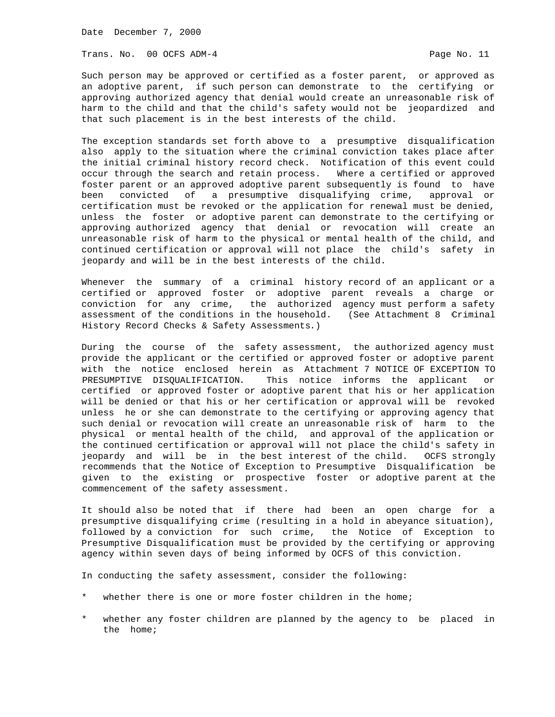Trans. No. 00 OCFS ADM-4 **Page No. 11** 

Such person may be approved or certified as a foster parent, or approved as an adoptive parent, if such person can demonstrate to the certifying or approving authorized agency that denial would create an unreasonable risk of harm to the child and that the child's safety would not be jeopardized and that such placement is in the best interests of the child.

The exception standards set forth above to a presumptive disqualification also apply to the situation where the criminal conviction takes place after the initial criminal history record check. Notification of this event could occur through the search and retain process. Where a certified or approved foster parent or an approved adoptive parent subsequently is found to have been convicted of a presumptive disqualifying crime, approval or certification must be revoked or the application for renewal must be denied, unless the foster or adoptive parent can demonstrate to the certifying or approving authorized agency that denial or revocation will create an unreasonable risk of harm to the physical or mental health of the child, and continued certification or approval will not place the child's safety in jeopardy and will be in the best interests of the child.

Whenever the summary of a criminal history record of an applicant or a certified or approved foster or adoptive parent reveals a charge or conviction for any crime, the authorized agency must perform a safety assessment of the conditions in the household. (See Attachment 8 Criminal History Record Checks & Safety Assessments.)

During the course of the safety assessment, the authorized agency must provide the applicant or the certified or approved foster or adoptive parent with the notice enclosed herein as Attachment 7 NOTICE OF EXCEPTION TO PRESUMPTIVE DISQUALIFICATION. This notice informs the applicant or certified or approved foster or adoptive parent that his or her application will be denied or that his or her certification or approval will be revoked unless he or she can demonstrate to the certifying or approving agency that such denial or revocation will create an unreasonable risk of harm to the physical or mental health of the child, and approval of the application or the continued certification or approval will not place the child's safety in jeopardy and will be in the best interest of the child. OCFS strongly recommends that the Notice of Exception to Presumptive Disqualification be given to the existing or prospective foster or adoptive parent at the commencement of the safety assessment.

It should also be noted that if there had been an open charge for a presumptive disqualifying crime (resulting in a hold in abeyance situation), followed by a conviction for such crime, the Notice of Exception to Presumptive Disqualification must be provided by the certifying or approving agency within seven days of being informed by OCFS of this conviction.

In conducting the safety assessment, consider the following:

- whether there is one or more foster children in the home;
- whether any foster children are planned by the agency to be placed in the home;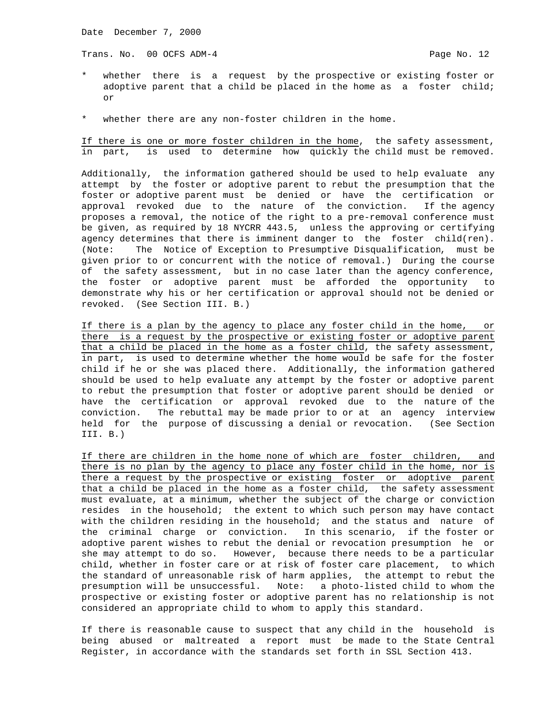Trans. No. 00 OCFS ADM-4 **Page No. 12** Page No. 12

- whether there is a request by the prospective or existing foster or adoptive parent that a child be placed in the home as a foster child; or
- \* whether there are any non-foster children in the home.

If there is one or more foster children in the home, the safety assessment, in part, is used to determine how quickly the child must be removed.

Additionally, the information gathered should be used to help evaluate any attempt by the foster or adoptive parent to rebut the presumption that the foster or adoptive parent must be denied or have the certification or approval revoked due to the nature of the conviction. If the agency proposes a removal, the notice of the right to a pre-removal conference must be given, as required by 18 NYCRR 443.5, unless the approving or certifying agency determines that there is imminent danger to the foster child(ren). (Note: The Notice of Exception to Presumptive Disqualification, must be given prior to or concurrent with the notice of removal.) During the course of the safety assessment, but in no case later than the agency conference, the foster or adoptive parent must be afforded the opportunity to demonstrate why his or her certification or approval should not be denied or revoked. (See Section III. B.)

If there is a plan by the agency to place any foster child in the home, or there is a request by the prospective or existing foster or adoptive parent that a child be placed in the home as a foster child, the safety assessment, in part, is used to determine whether the home would be safe for the foster child if he or she was placed there. Additionally, the information gathered should be used to help evaluate any attempt by the foster or adoptive parent to rebut the presumption that foster or adoptive parent should be denied or have the certification or approval revoked due to the nature of the conviction. The rebuttal may be made prior to or at an agency interview held for the purpose of discussing a denial or revocation. (See Section III. B.)

If there are children in the home none of which are foster children, and there is no plan by the agency to place any foster child in the home, nor is there a request by the prospective or existing foster or adoptive parent that a child be placed in the home as a foster child, the safety assessment must evaluate, at a minimum, whether the subject of the charge or conviction resides in the household; the extent to which such person may have contact with the children residing in the household; and the status and nature of the criminal charge or conviction. In this scenario, if the foster or adoptive parent wishes to rebut the denial or revocation presumption he or she may attempt to do so. However, because there needs to be a particular child, whether in foster care or at risk of foster care placement, to which the standard of unreasonable risk of harm applies, the attempt to rebut the presumption will be unsuccessful. Note: a photo-listed child to whom the prospective or existing foster or adoptive parent has no relationship is not considered an appropriate child to whom to apply this standard.

If there is reasonable cause to suspect that any child in the household is being abused or maltreated a report must be made to the State Central Register, in accordance with the standards set forth in SSL Section 413.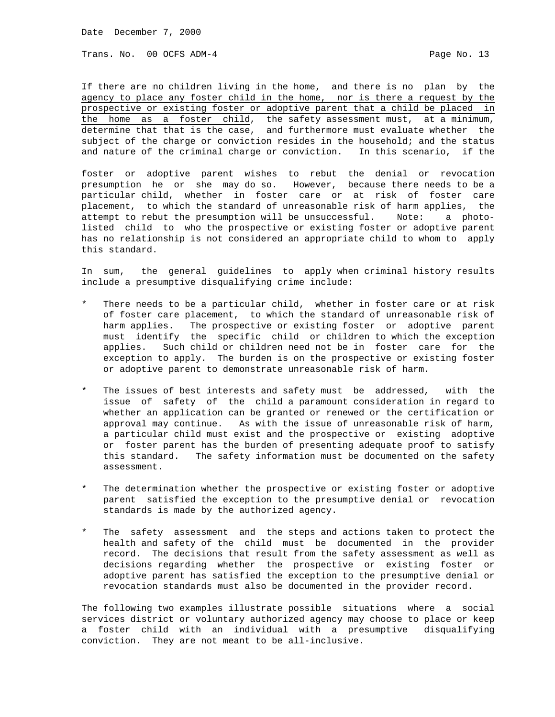Trans. No. 00 OCFS ADM-4 **Page No. 13** 

If there are no children living in the home, and there is no plan by the agency to place any foster child in the home, nor is there a request by the prospective or existing foster or adoptive parent that a child be placed in the home as a foster child, the safety assessment must, at a minimum, determine that that is the case, and furthermore must evaluate whether the subject of the charge or conviction resides in the household; and the status and nature of the criminal charge or conviction. In this scenario, if the

foster or adoptive parent wishes to rebut the denial or revocation presumption he or she may do so. However, because there needs to be a particular child, whether in foster care or at risk of foster care placement, to which the standard of unreasonable risk of harm applies, the attempt to rebut the presumption will be unsuccessful. Note: a photolisted child to who the prospective or existing foster or adoptive parent has no relationship is not considered an appropriate child to whom to apply this standard.

In sum, the general guidelines to apply when criminal history results include a presumptive disqualifying crime include:

- There needs to be a particular child, whether in foster care or at risk of foster care placement, to which the standard of unreasonable risk of harm applies. The prospective or existing foster or adoptive parent must identify the specific child or children to which the exception applies. Such child or children need not be in foster care for the exception to apply. The burden is on the prospective or existing foster or adoptive parent to demonstrate unreasonable risk of harm.
- The issues of best interests and safety must be addressed, with the issue of safety of the child a paramount consideration in regard to whether an application can be granted or renewed or the certification or approval may continue. As with the issue of unreasonable risk of harm, a particular child must exist and the prospective or existing adoptive or foster parent has the burden of presenting adequate proof to satisfy this standard. The safety information must be documented on the safety assessment.
- The determination whether the prospective or existing foster or adoptive parent satisfied the exception to the presumptive denial or revocation standards is made by the authorized agency.
- The safety assessment and the steps and actions taken to protect the health and safety of the child must be documented in the provider record. The decisions that result from the safety assessment as well as decisions regarding whether the prospective or existing foster or adoptive parent has satisfied the exception to the presumptive denial or revocation standards must also be documented in the provider record.

The following two examples illustrate possible situations where a social services district or voluntary authorized agency may choose to place or keep a foster child with an individual with a presumptive disqualifying conviction. They are not meant to be all-inclusive.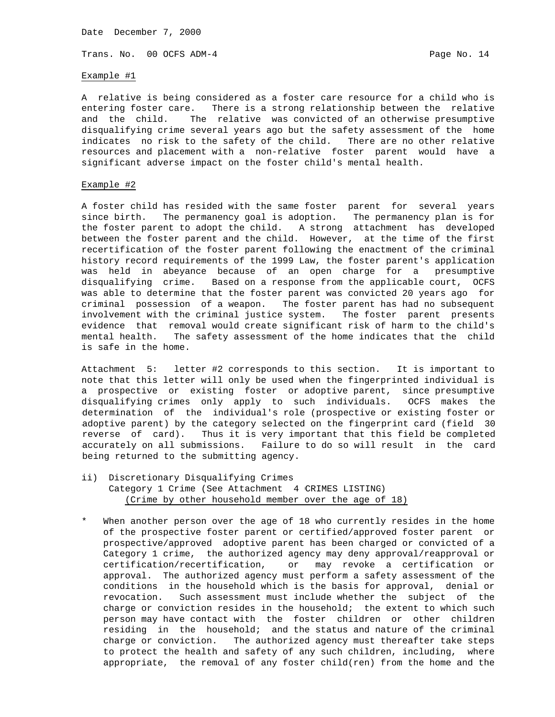Trans. No. 00 OCFS ADM-4 Page No. 14

Example #1

A relative is being considered as a foster care resource for a child who is entering foster care. There is a strong relationship between the relative and the child. The relative was convicted of an otherwise presumptive disqualifying crime several years ago but the safety assessment of the home indicates no risk to the safety of the child. There are no other relative resources and placement with a non-relative foster parent would have a significant adverse impact on the foster child's mental health.

## Example #2

A foster child has resided with the same foster parent for several years since birth. The permanency goal is adoption. The permanency plan is for the foster parent to adopt the child. A strong attachment has developed between the foster parent and the child. However, at the time of the first recertification of the foster parent following the enactment of the criminal history record requirements of the 1999 Law, the foster parent's application was held in abeyance because of an open charge for a presumptive disqualifying crime. Based on a response from the applicable court, OCFS was able to determine that the foster parent was convicted 20 years ago for criminal possession of a weapon. The foster parent has had no subsequent involvement with the criminal justice system. The foster parent presents evidence that removal would create significant risk of harm to the child's mental health. The safety assessment of the home indicates that the child is safe in the home.

Attachment 5: letter #2 corresponds to this section. It is important to note that this letter will only be used when the fingerprinted individual is a prospective or existing foster or adoptive parent, since presumptive disqualifying crimes only apply to such individuals. OCFS makes the determination of the individual's role (prospective or existing foster or adoptive parent) by the category selected on the fingerprint card (field 30 reverse of card). Thus it is very important that this field be completed accurately on all submissions. Failure to do so will result in the card being returned to the submitting agency.

- ii) Discretionary Disqualifying Crimes Category 1 Crime (See Attachment 4 CRIMES LISTING) (Crime by other household member over the age of 18)
- When another person over the age of 18 who currently resides in the home of the prospective foster parent or certified/approved foster parent or prospective/approved adoptive parent has been charged or convicted of a Category 1 crime, the authorized agency may deny approval/reapproval or certification/recertification, or may revoke a certification or approval. The authorized agency must perform a safety assessment of the conditions in the household which is the basis for approval, denial or revocation. Such assessment must include whether the subject of the charge or conviction resides in the household; the extent to which such person may have contact with the foster children or other children residing in the household; and the status and nature of the criminal charge or conviction. The authorized agency must thereafter take steps to protect the health and safety of any such children, including, where appropriate, the removal of any foster child(ren) from the home and the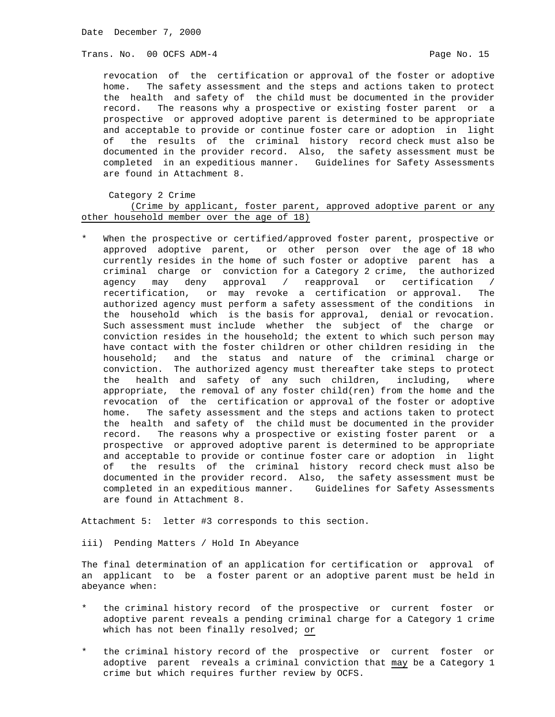Trans. No. 00 OCFS ADM-4 **Page No. 15** Page No. 15

 revocation of the certification or approval of the foster or adoptive home. The safety assessment and the steps and actions taken to protect the health and safety of the child must be documented in the provider record. The reasons why a prospective or existing foster parent or a prospective or approved adoptive parent is determined to be appropriate and acceptable to provide or continue foster care or adoption in light of the results of the criminal history record check must also be documented in the provider record. Also, the safety assessment must be completed in an expeditious manner. Guidelines for Safety Assessments are found in Attachment 8.

Category 2 Crime

 (Crime by applicant, foster parent, approved adoptive parent or any other household member over the age of 18)

When the prospective or certified/approved foster parent, prospective or approved adoptive parent, or other person over the age of 18 who currently resides in the home of such foster or adoptive parent has a criminal charge or conviction for a Category 2 crime, the authorized agency may deny approval / reapproval or certification / recertification, or may revoke a certification or approval. The authorized agency must perform a safety assessment of the conditions in the household which is the basis for approval, denial or revocation. Such assessment must include whether the subject of the charge or conviction resides in the household; the extent to which such person may have contact with the foster children or other children residing in the household; and the status and nature of the criminal charge or conviction. The authorized agency must thereafter take steps to protect the health and safety of any such children, including, where appropriate, the removal of any foster child(ren) from the home and the revocation of the certification or approval of the foster or adoptive home. The safety assessment and the steps and actions taken to protect the health and safety of the child must be documented in the provider record. The reasons why a prospective or existing foster parent or a prospective or approved adoptive parent is determined to be appropriate and acceptable to provide or continue foster care or adoption in light of the results of the criminal history record check must also be documented in the provider record. Also, the safety assessment must be completed in an expeditious manner. Guidelines for Safety Assessments are found in Attachment 8.

Attachment 5: letter #3 corresponds to this section.

iii) Pending Matters / Hold In Abeyance

The final determination of an application for certification or approval of an applicant to be a foster parent or an adoptive parent must be held in abeyance when:

- the criminal history record of the prospective or current foster or adoptive parent reveals a pending criminal charge for a Category 1 crime which has not been finally resolved; or
- the criminal history record of the prospective or current foster or adoptive parent reveals a criminal conviction that may be a Category 1 crime but which requires further review by OCFS.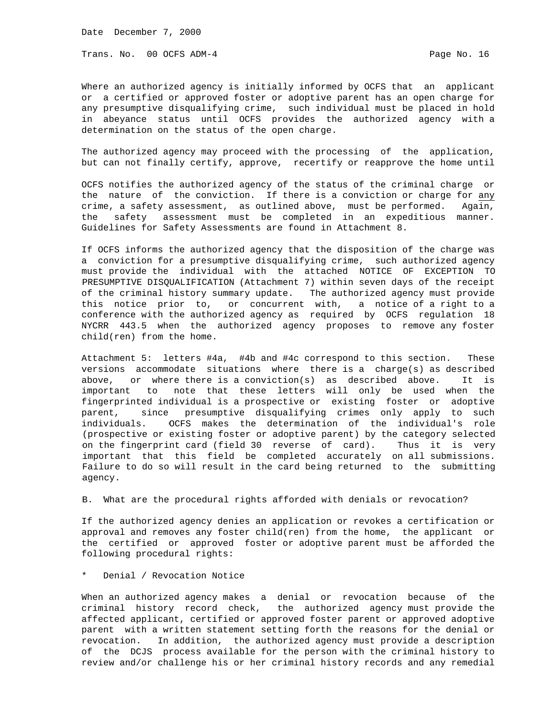Trans. No. 00 OCFS ADM-4 **Page No. 16** Page No. 16

Where an authorized agency is initially informed by OCFS that an applicant or a certified or approved foster or adoptive parent has an open charge for any presumptive disqualifying crime, such individual must be placed in hold in abeyance status until OCFS provides the authorized agency with a determination on the status of the open charge.

The authorized agency may proceed with the processing of the application, but can not finally certify, approve, recertify or reapprove the home until

OCFS notifies the authorized agency of the status of the criminal charge or the nature of the conviction. If there is a conviction or charge for any crime, a safety assessment, as outlined above, must be performed. Again, the safety assessment must be completed in an expeditious manner. Guidelines for Safety Assessments are found in Attachment 8.

If OCFS informs the authorized agency that the disposition of the charge was a conviction for a presumptive disqualifying crime, such authorized agency must provide the individual with the attached NOTICE OF EXCEPTION TO PRESUMPTIVE DISQUALIFICATION (Attachment 7) within seven days of the receipt of the criminal history summary update. The authorized agency must provide this notice prior to, or concurrent with, a notice of a right to a conference with the authorized agency as required by OCFS regulation 18 NYCRR 443.5 when the authorized agency proposes to remove any foster child(ren) from the home.

Attachment 5: letters #4a, #4b and #4c correspond to this section. These versions accommodate situations where there is a charge(s) as described above, or where there is a conviction(s) as described above. It is important to note that these letters will only be used when the fingerprinted individual is a prospective or existing foster or adoptive parent, since presumptive disqualifying crimes only apply to such individuals. OCFS makes the determination of the individual's role (prospective or existing foster or adoptive parent) by the category selected on the fingerprint card (field 30 reverse of card). Thus it is very important that this field be completed accurately on all submissions. Failure to do so will result in the card being returned to the submitting agency.

B. What are the procedural rights afforded with denials or revocation?

If the authorized agency denies an application or revokes a certification or approval and removes any foster child(ren) from the home, the applicant or the certified or approved foster or adoptive parent must be afforded the following procedural rights:

\* Denial / Revocation Notice

When an authorized agency makes a denial or revocation because of the criminal history record check, the authorized agency must provide the affected applicant, certified or approved foster parent or approved adoptive parent with a written statement setting forth the reasons for the denial or revocation. In addition, the authorized agency must provide a description of the DCJS process available for the person with the criminal history to review and/or challenge his or her criminal history records and any remedial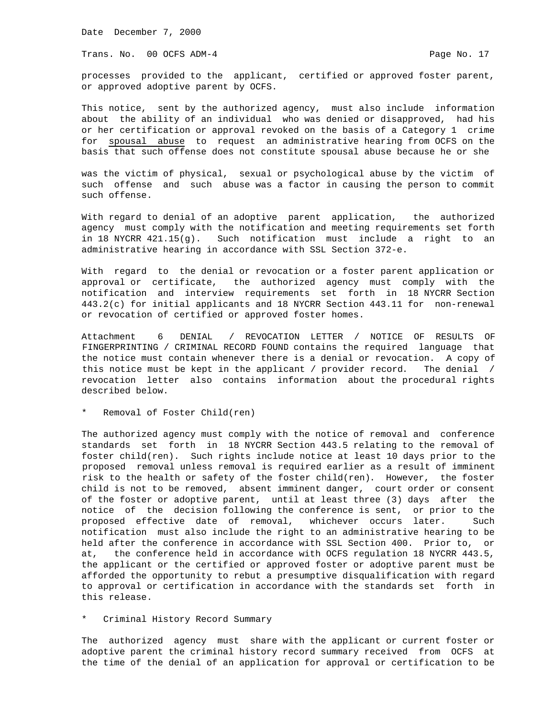Trans. No. 00 OCFS ADM-4 **Page No. 17** Page No. 17

processes provided to the applicant, certified or approved foster parent, or approved adoptive parent by OCFS.

This notice, sent by the authorized agency, must also include information about the ability of an individual who was denied or disapproved, had his or her certification or approval revoked on the basis of a Category 1 crime for spousal abuse to request an administrative hearing from OCFS on the basis that such offense does not constitute spousal abuse because he or she

was the victim of physical, sexual or psychological abuse by the victim of such offense and such abuse was a factor in causing the person to commit such offense.

With regard to denial of an adoptive parent application, the authorized agency must comply with the notification and meeting requirements set forth in 18 NYCRR 421.15(g). Such notification must include a right to an administrative hearing in accordance with SSL Section 372-e.

With regard to the denial or revocation or a foster parent application or approval or certificate, the authorized agency must comply with the notification and interview requirements set forth in 18 NYCRR Section 443.2(c) for initial applicants and 18 NYCRR Section 443.11 for non-renewal or revocation of certified or approved foster homes.

Attachment 6 DENIAL / REVOCATION LETTER / NOTICE OF RESULTS OF FINGERPRINTING / CRIMINAL RECORD FOUND contains the required language that the notice must contain whenever there is a denial or revocation. A copy of this notice must be kept in the applicant / provider record. The denial / revocation letter also contains information about the procedural rights described below.

Removal of Foster Child(ren)

The authorized agency must comply with the notice of removal and conference standards set forth in 18 NYCRR Section 443.5 relating to the removal of foster child(ren). Such rights include notice at least 10 days prior to the proposed removal unless removal is required earlier as a result of imminent risk to the health or safety of the foster child(ren). However, the foster child is not to be removed, absent imminent danger, court order or consent of the foster or adoptive parent, until at least three (3) days after the notice of the decision following the conference is sent, or prior to the proposed effective date of removal, whichever occurs later. Such notification must also include the right to an administrative hearing to be held after the conference in accordance with SSL Section 400. Prior to, or at, the conference held in accordance with OCFS regulation 18 NYCRR 443.5, the applicant or the certified or approved foster or adoptive parent must be afforded the opportunity to rebut a presumptive disqualification with regard to approval or certification in accordance with the standards set forth in this release.

\* Criminal History Record Summary

The authorized agency must share with the applicant or current foster or adoptive parent the criminal history record summary received from OCFS at the time of the denial of an application for approval or certification to be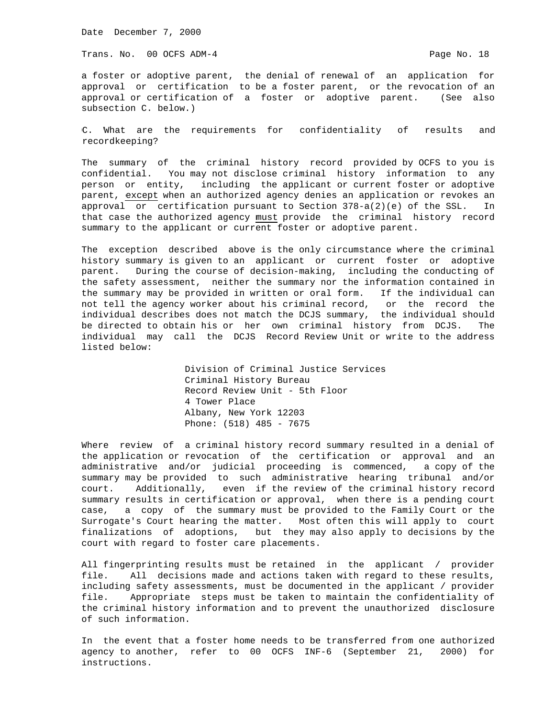Trans. No. 00 OCFS ADM-4 **Page No. 18** Page No. 18

a foster or adoptive parent, the denial of renewal of an application for approval or certification to be a foster parent, or the revocation of an approval or certification of a foster or adoptive parent. (See also subsection C. below.)

C. What are the requirements for confidentiality of results and recordkeeping?

The summary of the criminal history record provided by OCFS to you is confidential. You may not disclose criminal history information to any person or entity, including the applicant or current foster or adoptive parent, except when an authorized agency denies an application or revokes an approval or certification pursuant to Section 378-a(2)(e) of the SSL. In that case the authorized agency must provide the criminal history record summary to the applicant or current foster or adoptive parent.

The exception described above is the only circumstance where the criminal history summary is given to an applicant or current foster or adoptive parent. During the course of decision-making, including the conducting of the safety assessment, neither the summary nor the information contained in the summary may be provided in written or oral form. If the individual can not tell the agency worker about his criminal record, or the record the individual describes does not match the DCJS summary, the individual should be directed to obtain his or her own criminal history from DCJS. The individual may call the DCJS Record Review Unit or write to the address listed below:

> Division of Criminal Justice Services Criminal History Bureau Record Review Unit - 5th Floor 4 Tower Place Albany, New York 12203 Phone: (518) 485 - 7675

Where review of a criminal history record summary resulted in a denial of the application or revocation of the certification or approval and an administrative and/or judicial proceeding is commenced, a copy of the summary may be provided to such administrative hearing tribunal and/or court. Additionally, even if the review of the criminal history record summary results in certification or approval, when there is a pending court case, a copy of the summary must be provided to the Family Court or the Surrogate's Court hearing the matter. Most often this will apply to court finalizations of adoptions, but they may also apply to decisions by the court with regard to foster care placements.

All fingerprinting results must be retained in the applicant / provider file. All decisions made and actions taken with regard to these results, including safety assessments, must be documented in the applicant / provider file. Appropriate steps must be taken to maintain the confidentiality of the criminal history information and to prevent the unauthorized disclosure of such information.

In the event that a foster home needs to be transferred from one authorized agency to another, refer to 00 OCFS INF-6 (September 21, 2000) for instructions.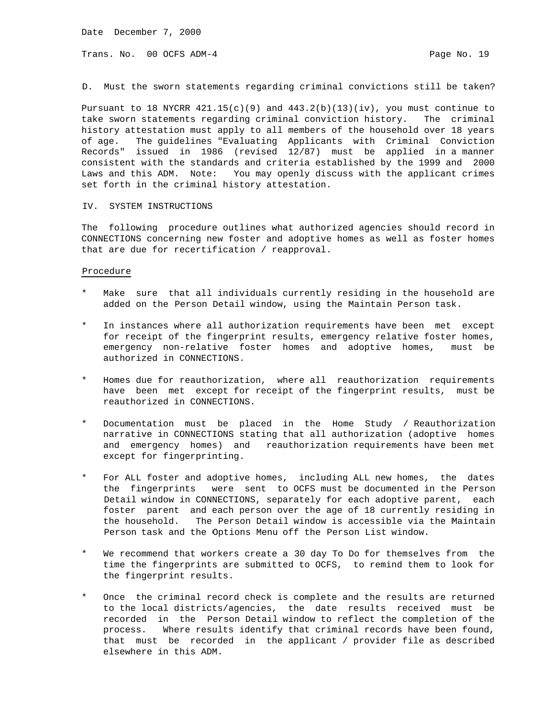Trans. No. 00 OCFS ADM-4 **Page No. 19** Page No. 19

D. Must the sworn statements regarding criminal convictions still be taken?

Pursuant to 18 NYCRR  $421.15(c)(9)$  and  $443.2(b)(13)(iv)$ , you must continue to take sworn statements regarding criminal conviction history. The criminal history attestation must apply to all members of the household over 18 years of age. The guidelines "Evaluating Applicants with Criminal Conviction Records" issued in 1986 (revised 12/87) must be applied in a manner consistent with the standards and criteria established by the 1999 and 2000 Laws and this ADM. Note: You may openly discuss with the applicant crimes set forth in the criminal history attestation.

### IV. SYSTEM INSTRUCTIONS

The following procedure outlines what authorized agencies should record in CONNECTIONS concerning new foster and adoptive homes as well as foster homes that are due for recertification / reapproval.

#### Procedure

- Make sure that all individuals currently residing in the household are added on the Person Detail window, using the Maintain Person task.
- In instances where all authorization requirements have been met except for receipt of the fingerprint results, emergency relative foster homes, emergency non-relative foster homes and adoptive homes, must be authorized in CONNECTIONS.
- Homes due for reauthorization, where all reauthorization requirements have been met except for receipt of the fingerprint results, must be reauthorized in CONNECTIONS.
- Documentation must be placed in the Home Study / Reauthorization narrative in CONNECTIONS stating that all authorization (adoptive homes and emergency homes) and reauthorization requirements have been met except for fingerprinting.
- For ALL foster and adoptive homes, including ALL new homes, the dates the fingerprints were sent to OCFS must be documented in the Person Detail window in CONNECTIONS, separately for each adoptive parent, each foster parent and each person over the age of 18 currently residing in the household. The Person Detail window is accessible via the Maintain Person task and the Options Menu off the Person List window.
- We recommend that workers create a 30 day To Do for themselves from the time the fingerprints are submitted to OCFS, to remind them to look for the fingerprint results.
- Once the criminal record check is complete and the results are returned to the local districts/agencies, the date results received must be recorded in the Person Detail window to reflect the completion of the process. Where results identify that criminal records have been found, that must be recorded in the applicant / provider file as described elsewhere in this ADM.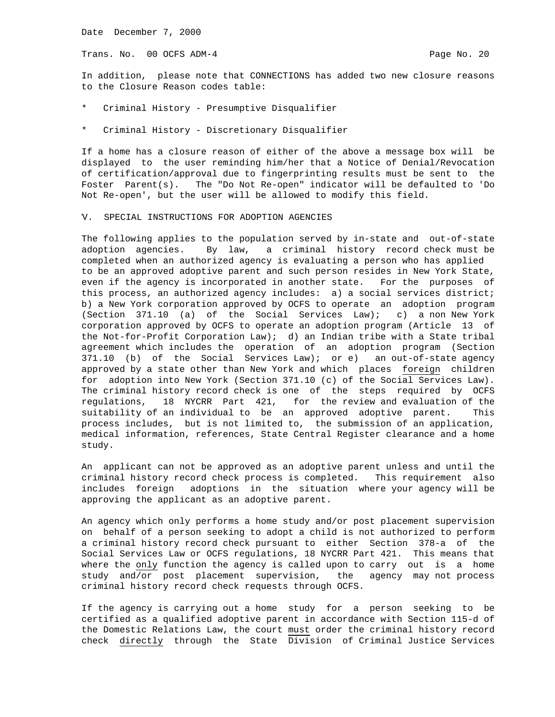Trans. No. 00 OCFS ADM-4 **Page No. 20** Page No. 20

In addition, please note that CONNECTIONS has added two new closure reasons to the Closure Reason codes table:

- Criminal History Presumptive Disqualifier
- Criminal History Discretionary Disqualifier

If a home has a closure reason of either of the above a message box will be displayed to the user reminding him/her that a Notice of Denial/Revocation of certification/approval due to fingerprinting results must be sent to the Foster Parent(s). The "Do Not Re-open" indicator will be defaulted to 'Do Not Re-open', but the user will be allowed to modify this field.

#### V. SPECIAL INSTRUCTIONS FOR ADOPTION AGENCIES

The following applies to the population served by in-state and out-of-state adoption agencies. By law, a criminal history record check must be completed when an authorized agency is evaluating a person who has applied to be an approved adoptive parent and such person resides in New York State, even if the agency is incorporated in another state. For the purposes of this process, an authorized agency includes: a) a social services district; b) a New York corporation approved by OCFS to operate an adoption program (Section 371.10 (a) of the Social Services Law); c) a non New York corporation approved by OCFS to operate an adoption program (Article 13 of the Not-for-Profit Corporation Law); d) an Indian tribe with a State tribal agreement which includes the operation of an adoption program (Section 371.10 (b) of the Social Services Law); or e) an out-of-state agency approved by a state other than New York and which places foreign children for adoption into New York (Section 371.10 (c) of the Social Services Law). The criminal history record check is one of the steps required by OCFS regulations, 18 NYCRR Part 421, for the review and evaluation of the suitability of an individual to be an approved adoptive parent. This process includes, but is not limited to, the submission of an application, medical information, references, State Central Register clearance and a home study.

An applicant can not be approved as an adoptive parent unless and until the criminal history record check process is completed. This requirement also includes foreign adoptions in the situation where your agency will be approving the applicant as an adoptive parent.

An agency which only performs a home study and/or post placement supervision on behalf of a person seeking to adopt a child is not authorized to perform a criminal history record check pursuant to either Section 378-a of the Social Services Law or OCFS regulations, 18 NYCRR Part 421. This means that where the only function the agency is called upon to carry out is a home study and/or post placement supervision, the agency may not process criminal history record check requests through OCFS.

If the agency is carrying out a home study for a person seeking to be certified as a qualified adoptive parent in accordance with Section 115-d of the Domestic Relations Law, the court must order the criminal history record check directly through the State Division of Criminal Justice Services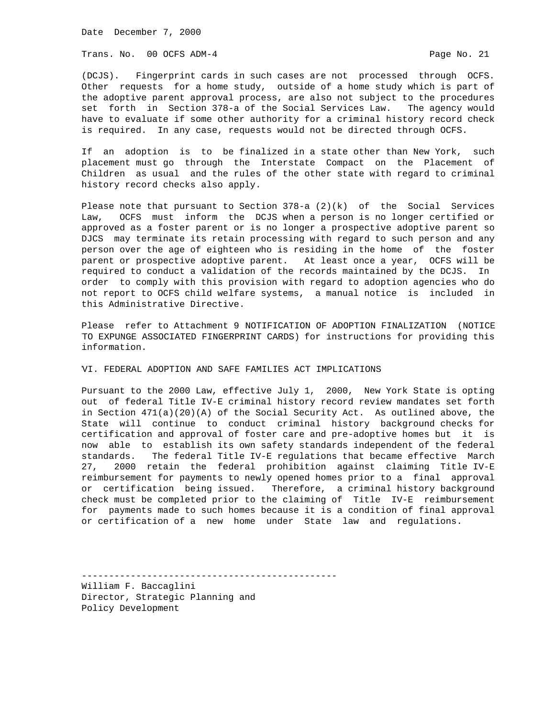Trans. No. 00 OCFS ADM-4 **Page No. 21** Page No. 21

(DCJS). Fingerprint cards in such cases are not processed through OCFS. Other requests for a home study, outside of a home study which is part of the adoptive parent approval process, are also not subject to the procedures set forth in Section 378-a of the Social Services Law. The agency would have to evaluate if some other authority for a criminal history record check is required. In any case, requests would not be directed through OCFS.

If an adoption is to be finalized in a state other than New York, such placement must go through the Interstate Compact on the Placement of Children as usual and the rules of the other state with regard to criminal history record checks also apply.

Please note that pursuant to Section 378-a (2)(k) of the Social Services Law, OCFS must inform the DCJS when a person is no longer certified or approved as a foster parent or is no longer a prospective adoptive parent so DJCS may terminate its retain processing with regard to such person and any person over the age of eighteen who is residing in the home of the foster parent or prospective adoptive parent. At least once a year, OCFS will be required to conduct a validation of the records maintained by the DCJS. In order to comply with this provision with regard to adoption agencies who do not report to OCFS child welfare systems, a manual notice is included in this Administrative Directive.

Please refer to Attachment 9 NOTIFICATION OF ADOPTION FINALIZATION (NOTICE TO EXPUNGE ASSOCIATED FINGERPRINT CARDS) for instructions for providing this information.

VI. FEDERAL ADOPTION AND SAFE FAMILIES ACT IMPLICATIONS

Pursuant to the 2000 Law, effective July 1, 2000, New York State is opting out of federal Title IV-E criminal history record review mandates set forth in Section 471(a)(20)(A) of the Social Security Act. As outlined above, the State will continue to conduct criminal history background checks for certification and approval of foster care and pre-adoptive homes but it is now able to establish its own safety standards independent of the federal standards. The federal Title IV-E regulations that became effective March 27, 2000 retain the federal prohibition against claiming Title IV-E reimbursement for payments to newly opened homes prior to a final approval or certification being issued. Therefore, a criminal history background check must be completed prior to the claiming of Title IV-E reimbursement for payments made to such homes because it is a condition of final approval or certification of a new home under State law and regulations.

-----------------------------------------------

William F. Baccaglini Director, Strategic Planning and Policy Development